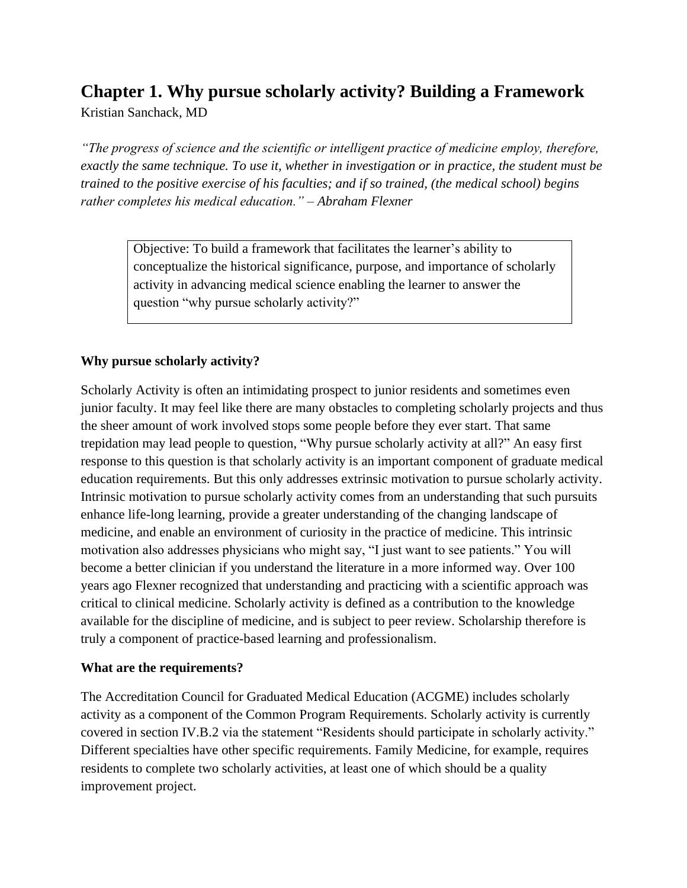# **Chapter 1. Why pursue scholarly activity? Building a Framework**

Kristian Sanchack, MD

*"The progress of science and the scientific or intelligent practice of medicine employ, therefore, exactly the same technique. To use it, whether in investigation or in practice, the student must be trained to the positive exercise of his faculties; and if so trained, (the medical school) begins rather completes his medical education." – Abraham Flexner*

> Objective: To build a framework that facilitates the learner's ability to conceptualize the historical significance, purpose, and importance of scholarly activity in advancing medical science enabling the learner to answer the question "why pursue scholarly activity?"

## **Why pursue scholarly activity?**

Scholarly Activity is often an intimidating prospect to junior residents and sometimes even junior faculty. It may feel like there are many obstacles to completing scholarly projects and thus the sheer amount of work involved stops some people before they ever start. That same trepidation may lead people to question, "Why pursue scholarly activity at all?" An easy first response to this question is that scholarly activity is an important component of graduate medical education requirements. But this only addresses extrinsic motivation to pursue scholarly activity. Intrinsic motivation to pursue scholarly activity comes from an understanding that such pursuits enhance life-long learning, provide a greater understanding of the changing landscape of medicine, and enable an environment of curiosity in the practice of medicine. This intrinsic motivation also addresses physicians who might say, "I just want to see patients." You will become a better clinician if you understand the literature in a more informed way. Over 100 years ago Flexner recognized that understanding and practicing with a scientific approach was critical to clinical medicine. Scholarly activity is defined as a contribution to the knowledge available for the discipline of medicine, and is subject to peer review. Scholarship therefore is truly a component of practice-based learning and professionalism.

## **What are the requirements?**

The Accreditation Council for Graduated Medical Education (ACGME) includes scholarly activity as a component of the Common Program Requirements. Scholarly activity is currently covered in section IV.B.2 via the statement "Residents should participate in scholarly activity." Different specialties have other specific requirements. Family Medicine, for example, requires residents to complete two scholarly activities, at least one of which should be a quality improvement project.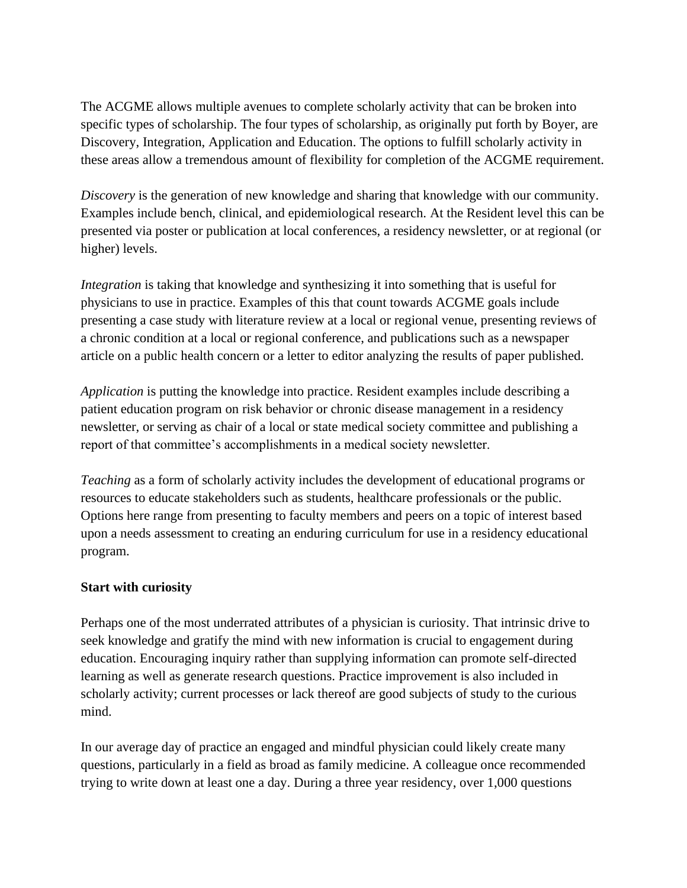The ACGME allows multiple avenues to complete scholarly activity that can be broken into specific types of scholarship. The four types of scholarship, as originally put forth by Boyer, are Discovery, Integration, Application and Education. The options to fulfill scholarly activity in these areas allow a tremendous amount of flexibility for completion of the ACGME requirement.

*Discovery* is the generation of new knowledge and sharing that knowledge with our community. Examples include bench, clinical, and epidemiological research. At the Resident level this can be presented via poster or publication at local conferences, a residency newsletter, or at regional (or higher) levels.

*Integration* is taking that knowledge and synthesizing it into something that is useful for physicians to use in practice. Examples of this that count towards ACGME goals include presenting a case study with literature review at a local or regional venue, presenting reviews of a chronic condition at a local or regional conference, and publications such as a newspaper article on a public health concern or a letter to editor analyzing the results of paper published.

*Application* is putting the knowledge into practice. Resident examples include describing a patient education program on risk behavior or chronic disease management in a residency newsletter, or serving as chair of a local or state medical society committee and publishing a report of that committee's accomplishments in a medical society newsletter.

*Teaching* as a form of scholarly activity includes the development of educational programs or resources to educate stakeholders such as students, healthcare professionals or the public. Options here range from presenting to faculty members and peers on a topic of interest based upon a needs assessment to creating an enduring curriculum for use in a residency educational program.

## **Start with curiosity**

Perhaps one of the most underrated attributes of a physician is curiosity. That intrinsic drive to seek knowledge and gratify the mind with new information is crucial to engagement during education. Encouraging inquiry rather than supplying information can promote self-directed learning as well as generate research questions. Practice improvement is also included in scholarly activity; current processes or lack thereof are good subjects of study to the curious mind.

In our average day of practice an engaged and mindful physician could likely create many questions, particularly in a field as broad as family medicine. A colleague once recommended trying to write down at least one a day. During a three year residency, over 1,000 questions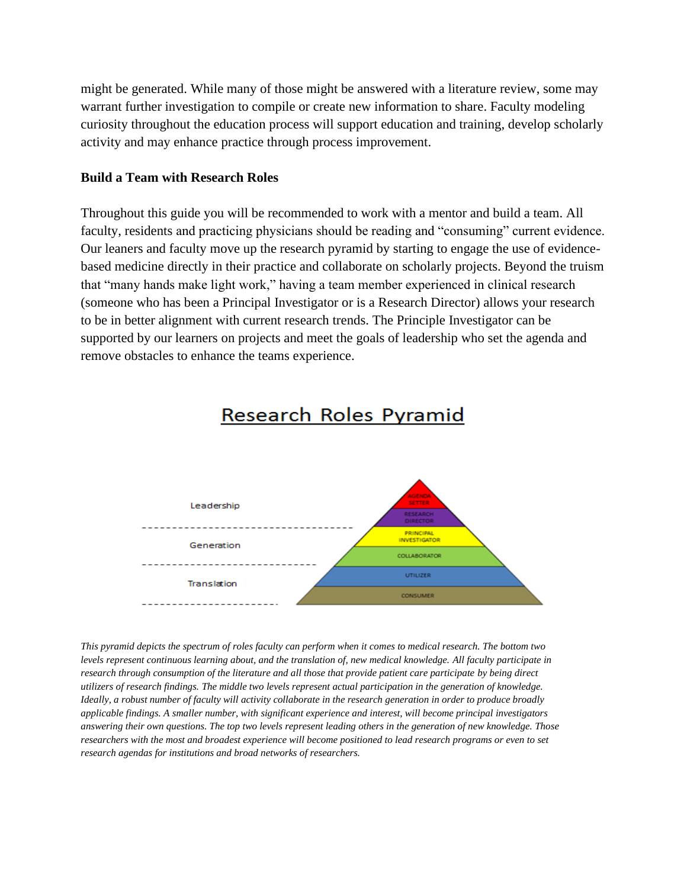might be generated. While many of those might be answered with a literature review, some may warrant further investigation to compile or create new information to share. Faculty modeling curiosity throughout the education process will support education and training, develop scholarly activity and may enhance practice through process improvement.

#### **Build a Team with Research Roles**

Throughout this guide you will be recommended to work with a mentor and build a team. All faculty, residents and practicing physicians should be reading and "consuming" current evidence. Our leaners and faculty move up the research pyramid by starting to engage the use of evidencebased medicine directly in their practice and collaborate on scholarly projects. Beyond the truism that "many hands make light work," having a team member experienced in clinical research (someone who has been a Principal Investigator or is a Research Director) allows your research to be in better alignment with current research trends. The Principle Investigator can be supported by our learners on projects and meet the goals of leadership who set the agenda and remove obstacles to enhance the teams experience.



## Research Roles Pyramid

*This pyramid depicts the spectrum of roles faculty can perform when it comes to medical research. The bottom two levels represent continuous learning about, and the translation of, new medical knowledge. All faculty participate in research through consumption of the literature and all those that provide patient care participate by being direct utilizers of research findings. The middle two levels represent actual participation in the generation of knowledge. Ideally, a robust number of faculty will activity collaborate in the research generation in order to produce broadly applicable findings. A smaller number, with significant experience and interest, will become principal investigators answering their own questions. The top two levels represent leading others in the generation of new knowledge. Those researchers with the most and broadest experience will become positioned to lead research programs or even to set research agendas for institutions and broad networks of researchers.*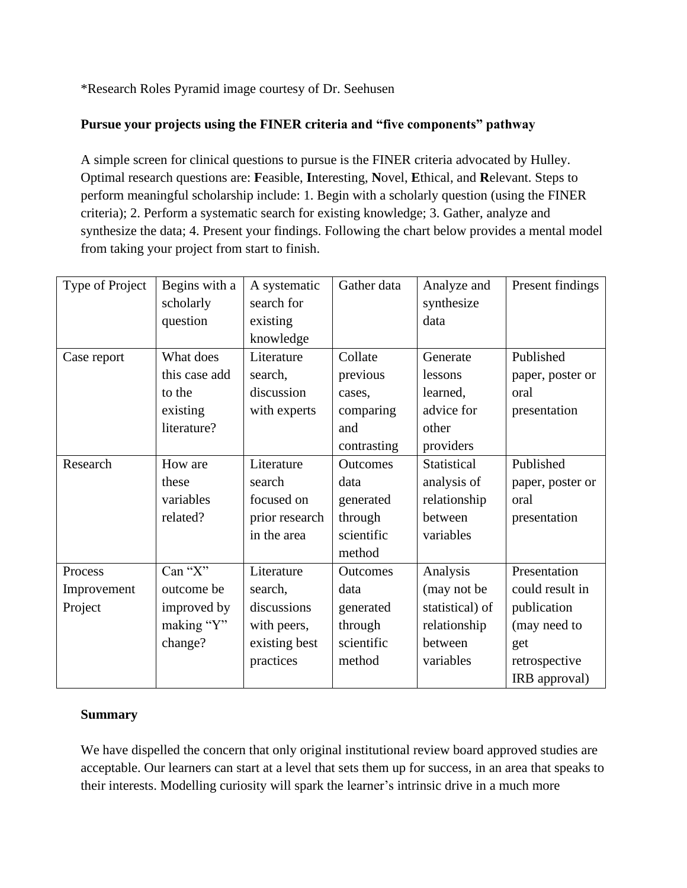\*Research Roles Pyramid image courtesy of Dr. Seehusen

## **Pursue your projects using the FINER criteria and "five components" pathway**

A simple screen for clinical questions to pursue is the FINER criteria advocated by Hulley. Optimal research questions are: **F**easible, **I**nteresting, **N**ovel, **E**thical, and **R**elevant. Steps to perform meaningful scholarship include: 1. Begin with a scholarly question (using the FINER criteria); 2. Perform a systematic search for existing knowledge; 3. Gather, analyze and synthesize the data; 4. Present your findings. Following the chart below provides a mental model from taking your project from start to finish.

| Type of Project | Begins with a | A systematic   | Gather data     | Analyze and     | Present findings |
|-----------------|---------------|----------------|-----------------|-----------------|------------------|
|                 | scholarly     | search for     |                 | synthesize      |                  |
|                 | question      | existing       |                 | data            |                  |
|                 |               | knowledge      |                 |                 |                  |
| Case report     | What does     | Literature     | Collate         | Generate        | Published        |
|                 | this case add | search,        | previous        | lessons         | paper, poster or |
|                 | to the        | discussion     | cases,          | learned,        | oral             |
|                 | existing      | with experts   | comparing       | advice for      | presentation     |
|                 | literature?   |                | and             | other           |                  |
|                 |               |                | contrasting     | providers       |                  |
| Research        | How are       | Literature     | <b>Outcomes</b> | Statistical     | Published        |
|                 | these         | search         | data            | analysis of     | paper, poster or |
|                 | variables     | focused on     | generated       | relationship    | oral             |
|                 | related?      | prior research | through         | between         | presentation     |
|                 |               | in the area    | scientific      | variables       |                  |
|                 |               |                | method          |                 |                  |
| Process         | Can "X"       | Literature     | <b>Outcomes</b> | Analysis        | Presentation     |
| Improvement     | outcome be    | search,        | data            | (may not be     | could result in  |
| Project         | improved by   | discussions    | generated       | statistical) of | publication      |
|                 | making "Y"    | with peers,    | through         | relationship    | (may need to     |
|                 | change?       | existing best  | scientific      | between         | get              |
|                 |               | practices      | method          | variables       | retrospective    |
|                 |               |                |                 |                 | IRB approval)    |

## **Summary**

We have dispelled the concern that only original institutional review board approved studies are acceptable. Our learners can start at a level that sets them up for success, in an area that speaks to their interests. Modelling curiosity will spark the learner's intrinsic drive in a much more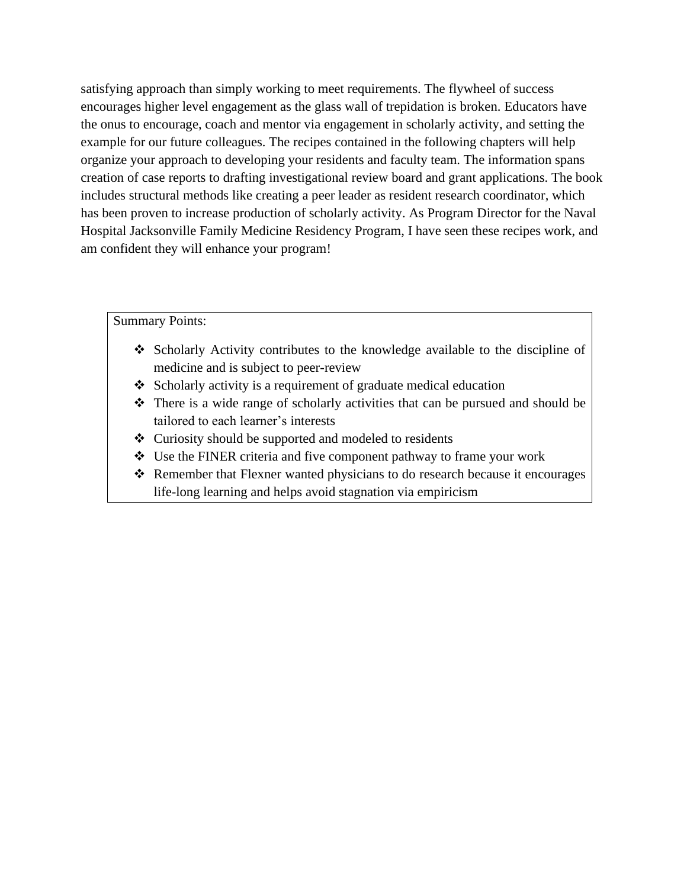satisfying approach than simply working to meet requirements. The flywheel of success encourages higher level engagement as the glass wall of trepidation is broken. Educators have the onus to encourage, coach and mentor via engagement in scholarly activity, and setting the example for our future colleagues. The recipes contained in the following chapters will help organize your approach to developing your residents and faculty team. The information spans creation of case reports to drafting investigational review board and grant applications. The book includes structural methods like creating a peer leader as resident research coordinator, which has been proven to increase production of scholarly activity. As Program Director for the Naval Hospital Jacksonville Family Medicine Residency Program, I have seen these recipes work, and am confident they will enhance your program!

Summary Points:

- ❖ Scholarly Activity contributes to the knowledge available to the discipline of medicine and is subject to peer-review
- ❖ Scholarly activity is a requirement of graduate medical education
- ❖ There is a wide range of scholarly activities that can be pursued and should be tailored to each learner's interests
- ❖ Curiosity should be supported and modeled to residents
- ❖ Use the FINER criteria and five component pathway to frame your work
- ❖ Remember that Flexner wanted physicians to do research because it encourages life-long learning and helps avoid stagnation via empiricism